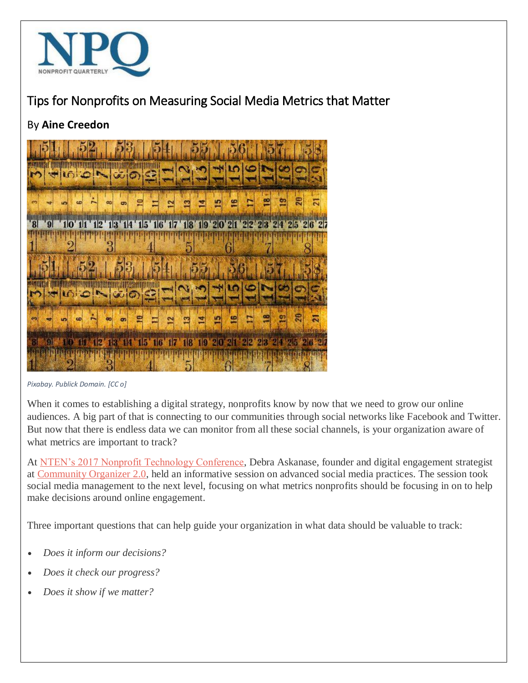

## Tips for Nonprofits on Measuring Social Media Metrics that Matter

## By **Aine Creedon**



*Pixabay. Publick Domain. [CC o]*

When it comes to establishing a digital strategy, nonprofits know by now that we need to grow our online audiences. A big part of that is connecting to our communities through social networks like Facebook and Twitter. But now that there is endless data we can monitor from all these social channels, is your organization aware of what metrics are important to track?

At [NTEN's 2017 Nonprofit Technology Conference,](https://www.nten.org/ntc/) Debra Askanase, founder and digital engagement strategist at [Community Organizer 2.0,](http://www.communityorganizer20.com/) held an informative session on advanced social media practices. The session took social media management to the next level, focusing on what metrics nonprofits should be focusing in on to help make decisions around online engagement.

Three important questions that can help guide your organization in what data should be valuable to track:

- *Does it inform our decisions?*
- *Does it check our progress?*
- *Does it show if we matter?*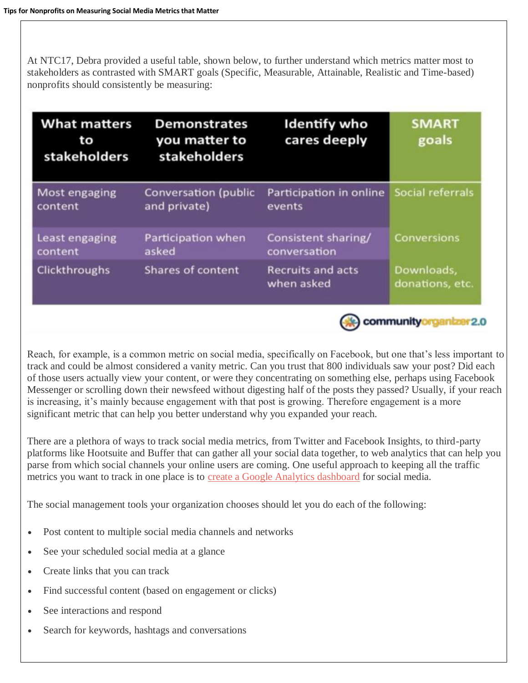At NTC17, Debra provided a useful table, shown below, to further understand which metrics matter most to stakeholders as contrasted with SMART goals (Specific, Measurable, Attainable, Realistic and Time-based) nonprofits should consistently be measuring:

| <b>What matters</b><br>to<br>stakeholders | <b>Demonstrates</b><br>you matter to<br>stakeholders | <b>Identify who</b><br>cares deeply    | <b>SMART</b><br>goals         |
|-------------------------------------------|------------------------------------------------------|----------------------------------------|-------------------------------|
| Most engaging<br>content                  | <b>Conversation (public</b><br>and private)          | Participation in online<br>events      | Social referrals              |
| Least engaging<br>content                 | Participation when<br>asked                          | Consistent sharing/<br>conversation    | <b>Conversions</b>            |
| Clickthroughs                             | Shares of content                                    | <b>Recruits and acts</b><br>when asked | Downloads,<br>donations, etc. |
| community<br>2(                           |                                                      |                                        |                               |

Reach, for example, is a common metric on social media, specifically on Facebook, but one that's less important to track and could be almost considered a vanity metric. Can you trust that 800 individuals saw your post? Did each of those users actually view your content, or were they concentrating on something else, perhaps using Facebook Messenger or scrolling down their newsfeed without digesting half of the posts they passed? Usually, if your reach is increasing, it's mainly because engagement with that post is growing. Therefore engagement is a more significant metric that can help you better understand why you expanded your reach.

There are a plethora of ways to track social media metrics, from Twitter and Facebook Insights, to third-party platforms like Hootsuite and Buffer that can gather all your social data together, to web analytics that can help you parse from which social channels your online users are coming. One useful approach to keeping all the traffic metrics you want to track in one place is to [create a Google Analytics dashboard](https://econsultancy.com/blog/62828-10-useful-google-analytics-custom-dashboards) for social media.

The social management tools your organization chooses should let you do each of the following:

- Post content to multiple social media channels and networks
- See your scheduled social media at a glance
- Create links that you can track
- Find successful content (based on engagement or clicks)
- See interactions and respond
- Search for keywords, hashtags and conversations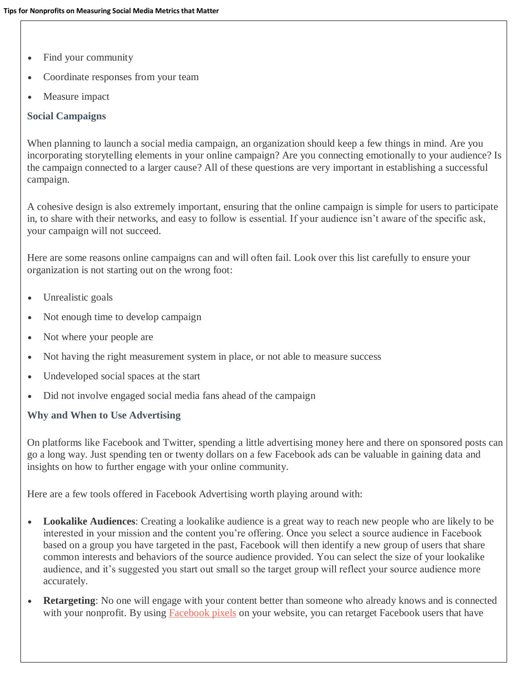- Find your community
- Coordinate responses from your team
- Measure impact

## **Social Campaigns**

When planning to launch a social media campaign, an organization should keep a few things in mind. Are you incorporating storytelling elements in your online campaign? Are you connecting emotionally to your audience? Is the campaign connected to a larger cause? All of these questions are very important in establishing a successful campaign.

A cohesive design is also extremely important, ensuring that the online campaign is simple for users to participate in, to share with their networks, and easy to follow is essential. If your audience isn't aware of the specific ask, your campaign will not succeed.

Here are some reasons online campaigns can and will often fail. Look over this list carefully to ensure your organization is not starting out on the wrong foot:

- Unrealistic goals
- Not enough time to develop campaign
- Not where your people are
- Not having the right measurement system in place, or not able to measure success
- Undeveloped social spaces at the start
- Did not involve engaged social media fans ahead of the campaign

## **Why and When to Use Advertising**

On platforms like Facebook and Twitter, spending a little advertising money here and there on sponsored posts can go a long way. Just spending ten or twenty dollars on a few Facebook ads can be valuable in gaining data and insights on how to further engage with your online community.

Here are a few tools offered in Facebook Advertising worth playing around with:

- **Lookalike Audiences**: Creating a lookalike audience is a great way to reach new people who are likely to be interested in your mission and the content you're offering. Once you select a source audience in Facebook based on a group you have targeted in the past, Facebook will then identify a new group of users that share common interests and behaviors of the source audience provided. You can select the size of your lookalike audience, and it's suggested you start out small so the target group will reflect your source audience more accurately.
- **Retargeting**: No one will engage with your content better than someone who already knows and is connected with your nonprofit. By using [Facebook pixels](https://www.facebook.com/business/help/952192354843755) on your website, you can retarget Facebook users that have